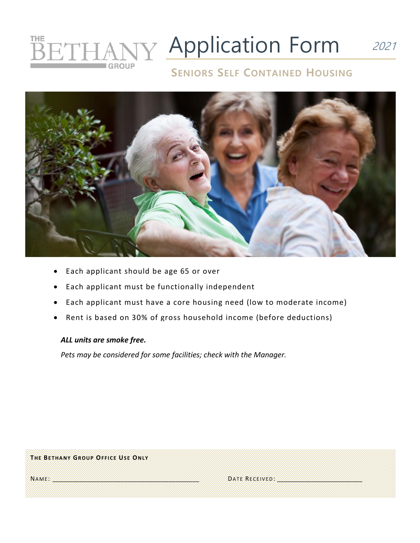## **HANY Application Form** 2021 THE **SET**

## **SENIORS SELF CONTAINED HOUSING**



- Each applicant should be age 65 or over
- Each applicant must be functionally independent
- Each applicant must have a core housing need (low to moderate income)
- Rent is based on 30% of gross household income (before deductions)

### *ALL units are smoke free.*

*Pets may be considered for some facilities; check with the Manager.*

| THE BETHANY GROUP OFFICE USE ONLY |               |  |
|-----------------------------------|---------------|--|
| NAME                              | DATE RECEIVED |  |
|                                   |               |  |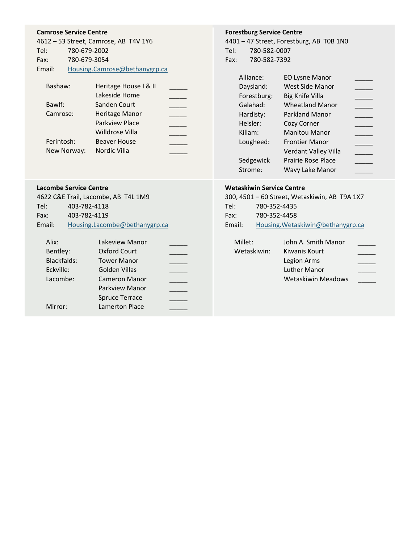### **Camrose Service Centre**

| 4612 - 53 Street, Camrose, AB T4V 1Y6 |
|---------------------------------------|
| 780-679-2002                          |
| 780-679-3054                          |
| Housing.Camrose@bethanygrp.ca         |
|                                       |

| Bashaw:     | Heritage House I & II |  |
|-------------|-----------------------|--|
|             | Lakeside Home         |  |
| Bawlf:      | Sanden Court          |  |
| Camrose:    | Heritage Manor        |  |
|             | <b>Parkview Place</b> |  |
|             | Willdrose Villa       |  |
| Ferintosh:  | <b>Beaver House</b>   |  |
| New Norway: | Nordic Villa          |  |

#### **Lacombe Service Centre**

|        | 4622 C&E Trail, Lacombe, AB T4L 1M9 |
|--------|-------------------------------------|
| Tel:   | 403-782-4118                        |
| Fax:   | 403-782-4119                        |
| Email: | Housing.Lacombe@bethanygrp.ca       |
|        |                                     |

| Alix:              | Lakeview Manor        |  |
|--------------------|-----------------------|--|
| Bentley:           | <b>Oxford Court</b>   |  |
| <b>Blackfalds:</b> | <b>Tower Manor</b>    |  |
| Eckville:          | Golden Villas         |  |
| Lacombe:           | <b>Cameron Manor</b>  |  |
|                    | Parkview Manor        |  |
|                    | <b>Spruce Terrace</b> |  |
| Mirror:            | <b>Lamerton Place</b> |  |
|                    |                       |  |

## **Forestburg Service Centre**

4401 – 47 Street, Forestburg, AB T0B 1N0 Tel: 780-582-0007 Fax: 780-582-7392

| Alliance:   | <b>EO Lysne Manor</b>     |  |
|-------------|---------------------------|--|
| Daysland:   | West Side Manor           |  |
| Forestburg: | Big Knife Villa           |  |
| Galahad:    | <b>Wheatland Manor</b>    |  |
| Hardisty:   | Parkland Manor            |  |
| Heisler:    | Cozy Corner               |  |
| Killam:     | <b>Manitou Manor</b>      |  |
| Lougheed:   | <b>Frontier Manor</b>     |  |
|             | Verdant Valley Villa      |  |
| Sedgewick   | <b>Prairie Rose Place</b> |  |
| Strome:     | Wavy Lake Manor           |  |

### **Wetaskiwin Service Centre**

|        | 300, 4501 - 60 Street, Wetaskiwin, AB T9A 1X7 |
|--------|-----------------------------------------------|
| Tel:   | 780-352-4435                                  |
| Fax:   | 780-352-4458                                  |
| Email: | Housing. Wetaskiwin@bethanygrp.ca             |

Millet: John A. Smith Manor Wetaskiwin: Kiwanis Kourt \_\_\_\_\_ Legion Arms<br>Luther Manor Luther Manor Wetaskiwin Meadows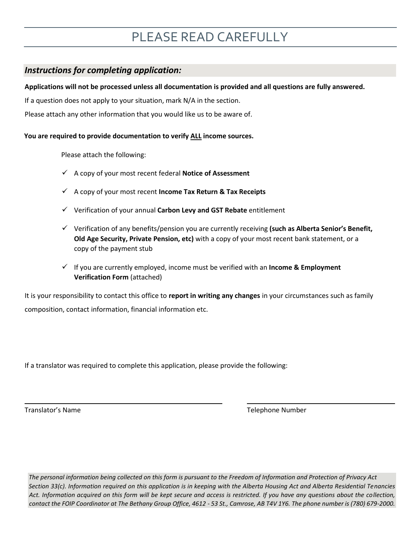### *Instructions for completing application:*

### **Applications will not be processed unless all documentation is provided and all questions are fully answered.**

If a question does not apply to your situation, mark N/A in the section.

Please attach any other information that you would like us to be aware of.

### **You are required to provide documentation to verify ALL income sources.**

Please attach the following:

- ✓ A copy of your most recent federal **Notice of Assessment**
- ✓ A copy of your most recent **Income Tax Return & Tax Receipts**
- ✓ Verification of your annual **Carbon Levy and GST Rebate** entitlement
- ✓ Verification of any benefits/pension you are currently receiving **(such as Alberta Senior's Benefit, Old Age Security, Private Pension, etc)** with a copy of your most recent bank statement, or a copy of the payment stub
- ✓ If you are currently employed, income must be verified with an **Income & Employment Verification Form** (attached)

It is your responsibility to contact this office to **report in writing any changes** in your circumstances such as family composition, contact information, financial information etc.

If a translator was required to complete this application, please provide the following:

Translator's Name Telephone Number

i<br>L

*The personal information being collected on this form is pursuant to the Freedom of Information and Protection of Privacy Act Section 33(c). Information required on this application is in keeping with the Alberta Housing Act and Alberta Residential Tenancies Act. Information acquired on this form will be kept secure and access is restricted. If you have any questions about the collection, contact the FOIP Coordinator at The Bethany Group Office, 4612 - 53 St., Camrose, AB T4V 1Y6. The phone number is (780) 679-2000.*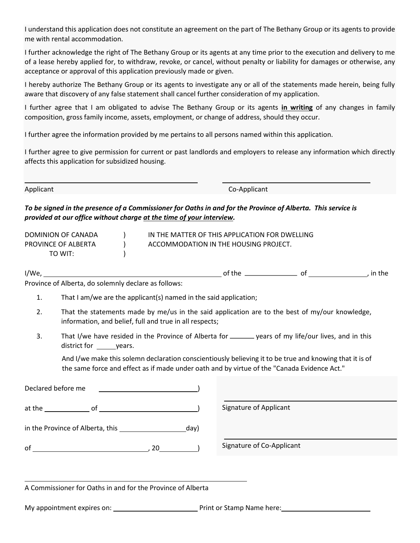I understand this application does not constitute an agreement on the part of The Bethany Group or its agents to provide me with rental accommodation.

I further acknowledge the right of The Bethany Group or its agents at any time prior to the execution and delivery to me of a lease hereby applied for, to withdraw, revoke, or cancel, without penalty or liability for damages or otherwise, any acceptance or approval of this application previously made or given.

I hereby authorize The Bethany Group or its agents to investigate any or all of the statements made herein, being fully aware that discovery of any false statement shall cancel further consideration of my application.

I further agree that I am obligated to advise The Bethany Group or its agents **in writing** of any changes in family composition, gross family income, assets, employment, or change of address, should they occur.

I further agree the information provided by me pertains to all persons named within this application.

I further agree to give permission for current or past landlords and employers to release any information which directly affects this application for subsidized housing.

Applicant Co-Applicant

*To be signed in the presence of a Commissioner for Oaths in and for the Province of Alberta. This service is provided at our office without charge at the time of your interview.* 

i<br>L

| DOMINION OF CANADA  | IN THE MATTER OF THIS APPLICATION FOR DWELLING |
|---------------------|------------------------------------------------|
| PROVINCE OF ALBERTA | ACCOMMODATION IN THE HOUSING PROJECT.          |
| TO WIT:             |                                                |

 $I/We$ ,  $I/Wee$ ,  $I/Wee$ ,  $I/Wee$ ,  $I/Wee$ ,  $I/Wee$ ,  $I/Wee$ ,  $I/Wee$ ,  $I/Wee$ ,  $I/Wee$ ,  $I/Wee$ ,  $I/Wee$ ,  $I/Wee$ ,  $I/Wee$ ,  $I/Wee$ ,  $I/Wee$ ,  $I/Wee$ ,  $I/Wee$ ,  $I/Wee$ ,  $I/Wee$ ,  $I/Wee$ ,  $I/Wee$ ,  $I/Wee$ ,  $I/Wee$ ,  $I/Wee$ ,  $I/Wee$ ,  $I/Wee$ ,  $I/Wee$ ,  $I/Wee$ ,  $I/Wee$ ,  $I/Wee$ ,  $I/Wee$ 

Province of Alberta, do solemnly declare as follows:

- 1. That I am/we are the applicant(s) named in the said application;
- 2. That the statements made by me/us in the said application are to the best of my/our knowledge, information, and belief, full and true in all respects;
- 3. That I/we have resided in the Province of Alberta for \_\_\_\_\_\_\_ years of my life/our lives, and in this district for years.

And I/we make this solemn declaration conscientiously believing it to be true and knowing that it is of the same force and effect as if made under oath and by virtue of the "Canada Evidence Act."

| Declared before me               |                 |                           |
|----------------------------------|-----------------|---------------------------|
| $at the __ of __$                |                 | Signature of Applicant    |
| in the Province of Alberta, this | _day)           |                           |
| of                               | $20$ and $\sim$ | Signature of Co-Applicant |
|                                  |                 |                           |
|                                  |                 |                           |

A Commissioner for Oaths in and for the Province of Alberta

My appointment expires on: <u>Netall and the print or Stamp Name here:</u> Network and My appointment expires on: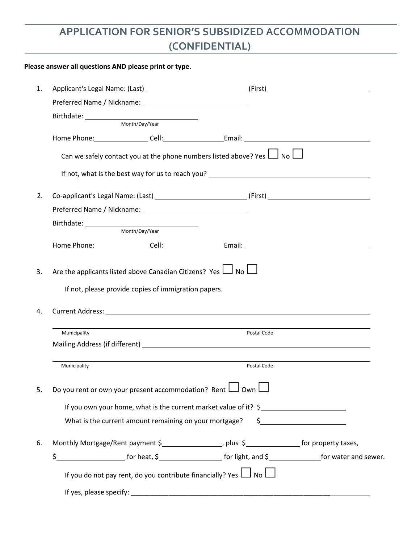## **APPLICATION FOR SENIOR'S SUBSIDIZED ACCOMMODATION (CONFIDENTIAL)**

### **Please answer all questions AND please print or type.**

| 1. |                                                                       |                |                                                                                                      |                                                                                                                                                                                                                                                                                                                                                     |
|----|-----------------------------------------------------------------------|----------------|------------------------------------------------------------------------------------------------------|-----------------------------------------------------------------------------------------------------------------------------------------------------------------------------------------------------------------------------------------------------------------------------------------------------------------------------------------------------|
|    |                                                                       |                |                                                                                                      |                                                                                                                                                                                                                                                                                                                                                     |
|    |                                                                       |                |                                                                                                      |                                                                                                                                                                                                                                                                                                                                                     |
|    |                                                                       |                |                                                                                                      |                                                                                                                                                                                                                                                                                                                                                     |
|    |                                                                       |                |                                                                                                      |                                                                                                                                                                                                                                                                                                                                                     |
|    |                                                                       |                | Can we safely contact you at the phone numbers listed above? Yes $\Box$ No $\Box$                    |                                                                                                                                                                                                                                                                                                                                                     |
|    |                                                                       |                | If not, what is the best way for us to reach you?                                                    |                                                                                                                                                                                                                                                                                                                                                     |
| 2. |                                                                       |                |                                                                                                      |                                                                                                                                                                                                                                                                                                                                                     |
|    |                                                                       |                |                                                                                                      |                                                                                                                                                                                                                                                                                                                                                     |
|    |                                                                       | Month/Day/Year |                                                                                                      |                                                                                                                                                                                                                                                                                                                                                     |
|    |                                                                       |                | Home Phone: Cell: Cell: Email: Cell: Email:                                                          |                                                                                                                                                                                                                                                                                                                                                     |
| 4. | If not, please provide copies of immigration papers.                  |                |                                                                                                      |                                                                                                                                                                                                                                                                                                                                                     |
|    | Municipality                                                          |                | Postal Code                                                                                          |                                                                                                                                                                                                                                                                                                                                                     |
|    |                                                                       |                |                                                                                                      |                                                                                                                                                                                                                                                                                                                                                     |
|    | Municipality                                                          |                | Postal Code                                                                                          |                                                                                                                                                                                                                                                                                                                                                     |
| 5. | Do you rent or own your present accommodation? Rent $\Box$ Own $\Box$ |                |                                                                                                      |                                                                                                                                                                                                                                                                                                                                                     |
|    |                                                                       |                | If you own your home, what is the current market value of it? \$                                     |                                                                                                                                                                                                                                                                                                                                                     |
|    | What is the current amount remaining on your mortgage?                |                |                                                                                                      | $\begin{picture}(20,10) \put(0,0){\line(1,0){10}} \put(15,0){\line(1,0){10}} \put(15,0){\line(1,0){10}} \put(15,0){\line(1,0){10}} \put(15,0){\line(1,0){10}} \put(15,0){\line(1,0){10}} \put(15,0){\line(1,0){10}} \put(15,0){\line(1,0){10}} \put(15,0){\line(1,0){10}} \put(15,0){\line(1,0){10}} \put(15,0){\line(1,0){10}} \put(15,0){\line(1$ |
| 6. |                                                                       |                | Monthly Mortgage/Rent payment \$______________________, plus \$_________________ for property taxes, |                                                                                                                                                                                                                                                                                                                                                     |
|    |                                                                       |                |                                                                                                      |                                                                                                                                                                                                                                                                                                                                                     |
|    |                                                                       |                | If you do not pay rent, do you contribute financially? Yes $\Box$ No $\Box$                          |                                                                                                                                                                                                                                                                                                                                                     |
|    |                                                                       |                |                                                                                                      |                                                                                                                                                                                                                                                                                                                                                     |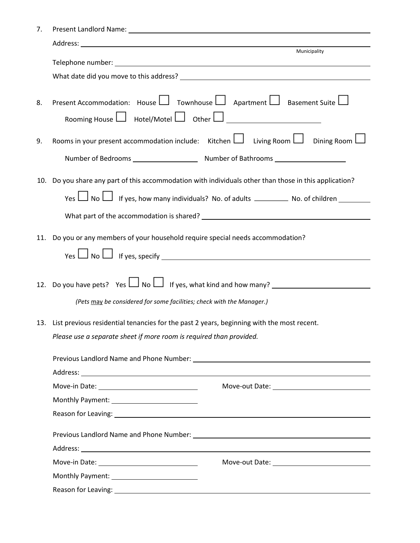| 7.  |                                                                                                        |  |  |
|-----|--------------------------------------------------------------------------------------------------------|--|--|
|     |                                                                                                        |  |  |
|     | Municipality                                                                                           |  |  |
|     |                                                                                                        |  |  |
|     |                                                                                                        |  |  |
| 8.  | Present Accommodation: House   Townhouse   Apartment   Basement Suite                                  |  |  |
|     |                                                                                                        |  |  |
| 9.  | Rooms in your present accommodation include: Kitchen $\Box$ Living Room $\Box$ Dining Room $\Box$      |  |  |
|     |                                                                                                        |  |  |
|     | 10. Do you share any part of this accommodation with individuals other than those in this application? |  |  |
|     |                                                                                                        |  |  |
|     |                                                                                                        |  |  |
|     |                                                                                                        |  |  |
| 11. | Do you or any members of your household require special needs accommodation?                           |  |  |
|     |                                                                                                        |  |  |
|     |                                                                                                        |  |  |
|     |                                                                                                        |  |  |
|     | (Pets may be considered for some facilities; check with the Manager.)                                  |  |  |
|     |                                                                                                        |  |  |
|     | 13. List previous residential tenancies for the past 2 years, beginning with the most recent.          |  |  |
|     | Please use a separate sheet if more room is required than provided.                                    |  |  |
|     |                                                                                                        |  |  |
|     |                                                                                                        |  |  |
|     |                                                                                                        |  |  |
|     |                                                                                                        |  |  |
|     |                                                                                                        |  |  |
|     |                                                                                                        |  |  |
|     |                                                                                                        |  |  |
|     | Move-in Date: ________________________________                                                         |  |  |
|     |                                                                                                        |  |  |
|     |                                                                                                        |  |  |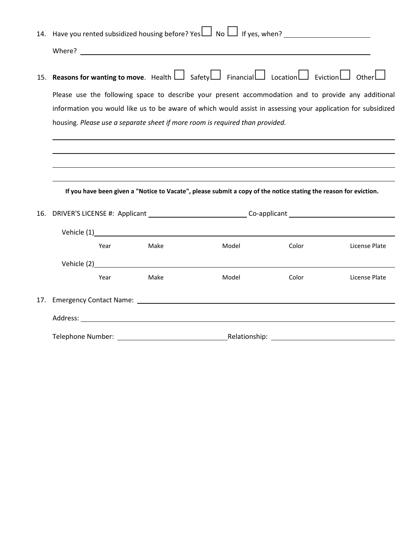|     | 14. Have you rented subsidized housing before? Yes $\Box$ No $\Box$ If yes, when?                                                  |      |                                                                                                                                                                                                                                |       |               |
|-----|------------------------------------------------------------------------------------------------------------------------------------|------|--------------------------------------------------------------------------------------------------------------------------------------------------------------------------------------------------------------------------------|-------|---------------|
|     |                                                                                                                                    |      |                                                                                                                                                                                                                                |       |               |
|     | 15. <b>Reasons for wanting to move</b> . Health $\Box$ Safety $\Box$ Financial $\Box$ Location $\Box$ Eviction $\Box$ Other $\Box$ |      |                                                                                                                                                                                                                                |       |               |
|     | Please use the following space to describe your present accommodation and to provide any additional                                |      |                                                                                                                                                                                                                                |       |               |
|     | information you would like us to be aware of which would assist in assessing your application for subsidized                       |      |                                                                                                                                                                                                                                |       |               |
|     | housing. Please use a separate sheet if more room is required than provided.                                                       |      |                                                                                                                                                                                                                                |       |               |
|     |                                                                                                                                    |      |                                                                                                                                                                                                                                |       |               |
|     |                                                                                                                                    |      |                                                                                                                                                                                                                                |       |               |
|     |                                                                                                                                    |      |                                                                                                                                                                                                                                |       |               |
|     |                                                                                                                                    |      |                                                                                                                                                                                                                                |       |               |
|     |                                                                                                                                    |      | If you have been given a "Notice to Vacate", please submit a copy of the notice stating the reason for eviction.                                                                                                               |       |               |
| 16. | DRIVER'S LICENSE #: Applicant ___________________________________Co-applicant ________________________________                     |      |                                                                                                                                                                                                                                |       |               |
|     |                                                                                                                                    |      | Vehicle (1) vehicle (1)                                                                                                                                                                                                        |       |               |
|     | Year                                                                                                                               | Make | Model                                                                                                                                                                                                                          | Color | License Plate |
|     |                                                                                                                                    |      |                                                                                                                                                                                                                                |       |               |
|     |                                                                                                                                    |      | Vehicle (2) vehicle (2) and the state of the state of the state of the state of the state of the state of the state of the state of the state of the state of the state of the state of the state of the state of the state of |       |               |
|     | Year                                                                                                                               | Make | Model                                                                                                                                                                                                                          | Color | License Plate |
|     |                                                                                                                                    |      |                                                                                                                                                                                                                                |       |               |
|     |                                                                                                                                    |      |                                                                                                                                                                                                                                |       |               |
|     |                                                                                                                                    |      |                                                                                                                                                                                                                                |       |               |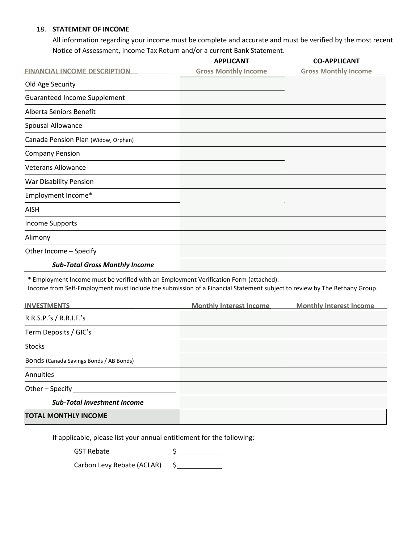### 18. **STATEMENT OF INCOME**

All information regarding your income must be complete and accurate and must be verified by the most recent Notice of Assessment, Income Tax Return and/or a current Bank Statement.

|                                                                                                                                                                                                                   | <b>APPLICANT</b>               | <b>CO-APPLICANT</b>            |
|-------------------------------------------------------------------------------------------------------------------------------------------------------------------------------------------------------------------|--------------------------------|--------------------------------|
| <b>FINANCIAL INCOME DESCRIPTION</b>                                                                                                                                                                               | <b>Gross Monthly Income</b>    | <b>Gross Monthly Income</b>    |
| Old Age Security                                                                                                                                                                                                  |                                |                                |
| <b>Guaranteed Income Supplement</b>                                                                                                                                                                               |                                |                                |
| Alberta Seniors Benefit                                                                                                                                                                                           |                                |                                |
| Spousal Allowance                                                                                                                                                                                                 |                                |                                |
| Canada Pension Plan (Widow, Orphan)                                                                                                                                                                               |                                |                                |
| <b>Company Pension</b>                                                                                                                                                                                            |                                |                                |
| <b>Veterans Allowance</b>                                                                                                                                                                                         |                                |                                |
| War Disability Pension                                                                                                                                                                                            |                                |                                |
| Employment Income*                                                                                                                                                                                                |                                |                                |
| <b>AISH</b>                                                                                                                                                                                                       |                                |                                |
| <b>Income Supports</b>                                                                                                                                                                                            |                                |                                |
| Alimony                                                                                                                                                                                                           |                                |                                |
| Other Income - Specify                                                                                                                                                                                            |                                |                                |
| <b>Sub-Total Gross Monthly Income</b>                                                                                                                                                                             |                                |                                |
| * Employment Income must be verified with an Employment Verification Form (attached).<br>Income from Self-Employment must include the submission of a Financial Statement subject to review by The Bethany Group. |                                |                                |
| <b>INVESTMENTS</b>                                                                                                                                                                                                | <b>Monthly Interest Income</b> | <b>Monthly Interest Income</b> |
| R.R.S.P.'s / R.R.I.F.'s                                                                                                                                                                                           |                                |                                |
| Term Deposits / GIC's                                                                                                                                                                                             |                                |                                |
| <b>Stocks</b>                                                                                                                                                                                                     |                                |                                |
| Bonds (Canada Savings Bonds / AB Bonds)                                                                                                                                                                           |                                |                                |
| Annuities                                                                                                                                                                                                         |                                |                                |
| Other-Specify                                                                                                                                                                                                     |                                |                                |
| <b>Sub-Total Investment Income</b>                                                                                                                                                                                |                                |                                |
| <b>TOTAL MONTHLY INCOME</b>                                                                                                                                                                                       |                                |                                |

If applicable, please list your annual entitlement for the following:

GST Rebate \$

Carbon Levy Rebate (ACLAR) \$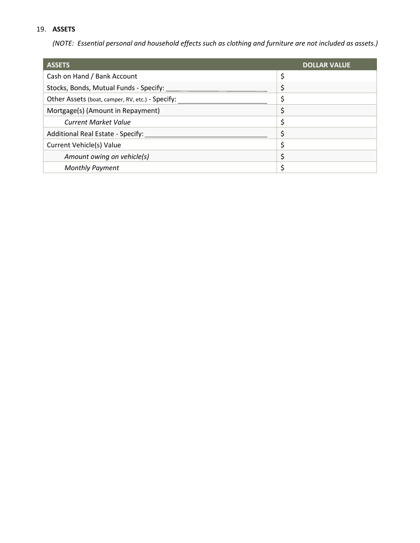## 19. **ASSETS**

*(NOTE: Essential personal and household effects such as clothing and furniture are not included as assets.)* 

| <b>ASSETS</b>                                    | <b>DOLLAR VALUE</b> |
|--------------------------------------------------|---------------------|
| Cash on Hand / Bank Account                      | \$                  |
| Stocks, Bonds, Mutual Funds - Specify:           |                     |
| Other Assets (boat, camper, RV, etc.) - Specify: |                     |
| Mortgage(s) (Amount in Repayment)                |                     |
| <b>Current Market Value</b>                      |                     |
| Additional Real Estate - Specify:                |                     |
| <b>Current Vehicle(s) Value</b>                  |                     |
| Amount owing on vehicle(s)                       | \$                  |
| <b>Monthly Payment</b>                           |                     |